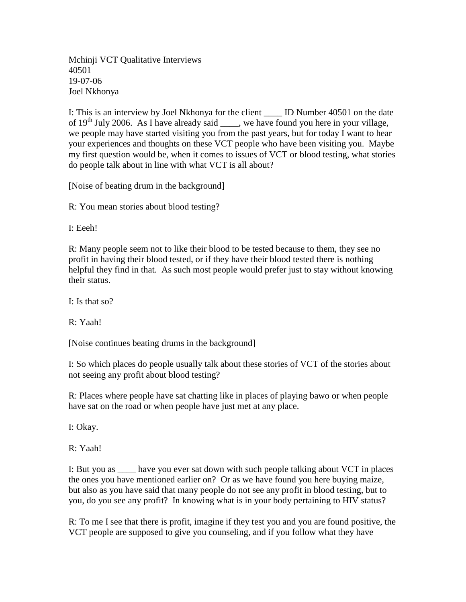Mchinji VCT Qualitative Interviews 40501 19-07-06 Joel Nkhonya

I: This is an interview by Joel Nkhonya for the client \_\_\_\_ ID Number 40501 on the date of  $19<sup>th</sup>$  July 2006. As I have already said \_\_\_\_, we have found you here in your village, we people may have started visiting you from the past years, but for today I want to hear your experiences and thoughts on these VCT people who have been visiting you. Maybe my first question would be, when it comes to issues of VCT or blood testing, what stories do people talk about in line with what VCT is all about?

[Noise of beating drum in the background]

R: You mean stories about blood testing?

I: Eeeh!

R: Many people seem not to like their blood to be tested because to them, they see no profit in having their blood tested, or if they have their blood tested there is nothing helpful they find in that. As such most people would prefer just to stay without knowing their status.

I: Is that so?

R: Yaah!

[Noise continues beating drums in the background]

I: So which places do people usually talk about these stories of VCT of the stories about not seeing any profit about blood testing?

R: Places where people have sat chatting like in places of playing bawo or when people have sat on the road or when people have just met at any place.

I: Okay.

R: Yaah!

I: But you as have you ever sat down with such people talking about VCT in places the ones you have mentioned earlier on? Or as we have found you here buying maize, but also as you have said that many people do not see any profit in blood testing, but to you, do you see any profit? In knowing what is in your body pertaining to HIV status?

R: To me I see that there is profit, imagine if they test you and you are found positive, the VCT people are supposed to give you counseling, and if you follow what they have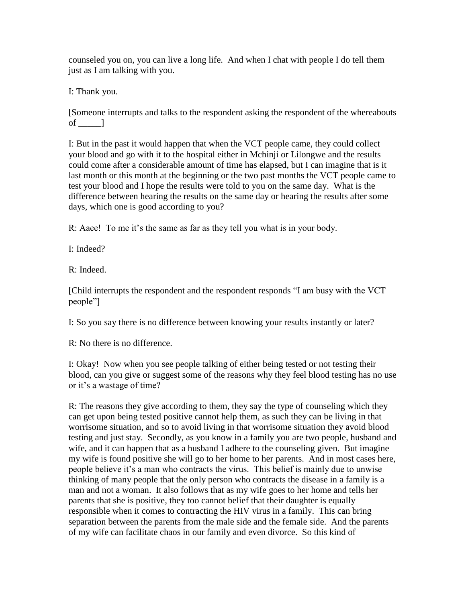counseled you on, you can live a long life. And when I chat with people I do tell them just as I am talking with you.

I: Thank you.

[Someone interrupts and talks to the respondent asking the respondent of the whereabouts of  $\qquad$  ]

I: But in the past it would happen that when the VCT people came, they could collect your blood and go with it to the hospital either in Mchinji or Lilongwe and the results could come after a considerable amount of time has elapsed, but I can imagine that is it last month or this month at the beginning or the two past months the VCT people came to test your blood and I hope the results were told to you on the same day. What is the difference between hearing the results on the same day or hearing the results after some days, which one is good according to you?

R: Aaee! To me it's the same as far as they tell you what is in your body.

I: Indeed?

R: Indeed.

[Child interrupts the respondent and the respondent responds "I am busy with the VCT people"]

I: So you say there is no difference between knowing your results instantly or later?

R: No there is no difference.

I: Okay! Now when you see people talking of either being tested or not testing their blood, can you give or suggest some of the reasons why they feel blood testing has no use or it's a wastage of time?

R: The reasons they give according to them, they say the type of counseling which they can get upon being tested positive cannot help them, as such they can be living in that worrisome situation, and so to avoid living in that worrisome situation they avoid blood testing and just stay. Secondly, as you know in a family you are two people, husband and wife, and it can happen that as a husband I adhere to the counseling given. But imagine my wife is found positive she will go to her home to her parents. And in most cases here, people believe it's a man who contracts the virus. This belief is mainly due to unwise thinking of many people that the only person who contracts the disease in a family is a man and not a woman. It also follows that as my wife goes to her home and tells her parents that she is positive, they too cannot belief that their daughter is equally responsible when it comes to contracting the HIV virus in a family. This can bring separation between the parents from the male side and the female side. And the parents of my wife can facilitate chaos in our family and even divorce. So this kind of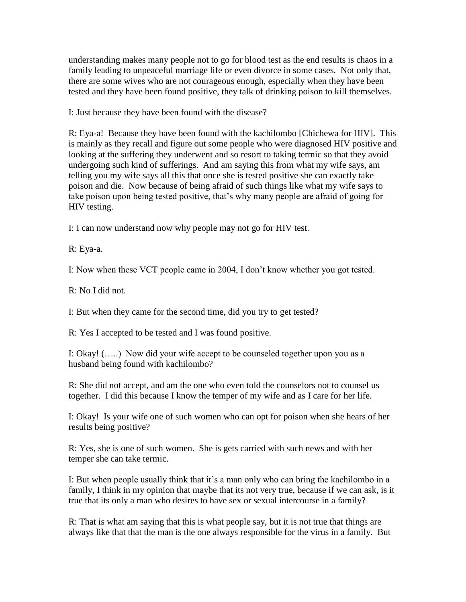understanding makes many people not to go for blood test as the end results is chaos in a family leading to unpeaceful marriage life or even divorce in some cases. Not only that, there are some wives who are not courageous enough, especially when they have been tested and they have been found positive, they talk of drinking poison to kill themselves.

I: Just because they have been found with the disease?

R: Eya-a! Because they have been found with the kachilombo [Chichewa for HIV]. This is mainly as they recall and figure out some people who were diagnosed HIV positive and looking at the suffering they underwent and so resort to taking termic so that they avoid undergoing such kind of sufferings. And am saying this from what my wife says, am telling you my wife says all this that once she is tested positive she can exactly take poison and die. Now because of being afraid of such things like what my wife says to take poison upon being tested positive, that's why many people are afraid of going for HIV testing.

I: I can now understand now why people may not go for HIV test.

R: Eya-a.

I: Now when these VCT people came in 2004, I don't know whether you got tested.

R: No I did not.

I: But when they came for the second time, did you try to get tested?

R: Yes I accepted to be tested and I was found positive.

I: Okay! (…..) Now did your wife accept to be counseled together upon you as a husband being found with kachilombo?

R: She did not accept, and am the one who even told the counselors not to counsel us together. I did this because I know the temper of my wife and as I care for her life.

I: Okay! Is your wife one of such women who can opt for poison when she hears of her results being positive?

R: Yes, she is one of such women. She is gets carried with such news and with her temper she can take termic.

I: But when people usually think that it's a man only who can bring the kachilombo in a family, I think in my opinion that maybe that its not very true, because if we can ask, is it true that its only a man who desires to have sex or sexual intercourse in a family?

R: That is what am saying that this is what people say, but it is not true that things are always like that that the man is the one always responsible for the virus in a family. But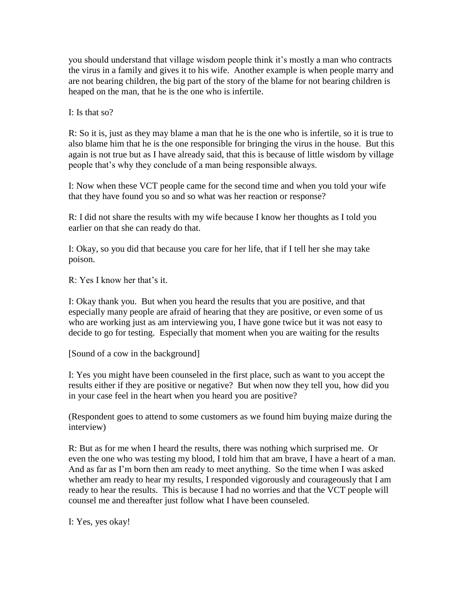you should understand that village wisdom people think it's mostly a man who contracts the virus in a family and gives it to his wife. Another example is when people marry and are not bearing children, the big part of the story of the blame for not bearing children is heaped on the man, that he is the one who is infertile.

I: Is that so?

R: So it is, just as they may blame a man that he is the one who is infertile, so it is true to also blame him that he is the one responsible for bringing the virus in the house. But this again is not true but as I have already said, that this is because of little wisdom by village people that's why they conclude of a man being responsible always.

I: Now when these VCT people came for the second time and when you told your wife that they have found you so and so what was her reaction or response?

R: I did not share the results with my wife because I know her thoughts as I told you earlier on that she can ready do that.

I: Okay, so you did that because you care for her life, that if I tell her she may take poison.

R: Yes I know her that's it.

I: Okay thank you. But when you heard the results that you are positive, and that especially many people are afraid of hearing that they are positive, or even some of us who are working just as am interviewing you, I have gone twice but it was not easy to decide to go for testing. Especially that moment when you are waiting for the results

[Sound of a cow in the background]

I: Yes you might have been counseled in the first place, such as want to you accept the results either if they are positive or negative? But when now they tell you, how did you in your case feel in the heart when you heard you are positive?

(Respondent goes to attend to some customers as we found him buying maize during the interview)

R: But as for me when I heard the results, there was nothing which surprised me. Or even the one who was testing my blood, I told him that am brave, I have a heart of a man. And as far as I'm born then am ready to meet anything. So the time when I was asked whether am ready to hear my results, I responded vigorously and courageously that I am ready to hear the results. This is because I had no worries and that the VCT people will counsel me and thereafter just follow what I have been counseled.

I: Yes, yes okay!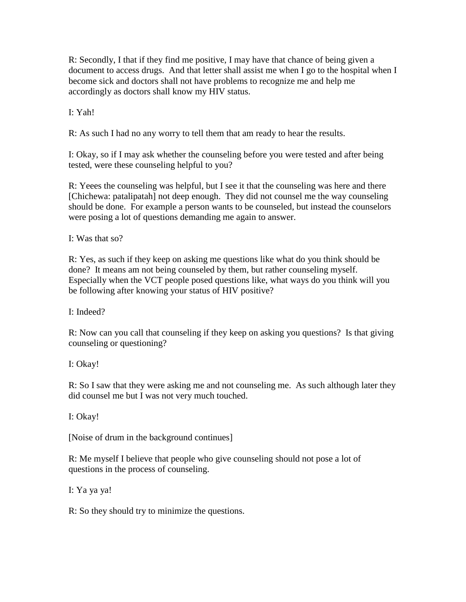R: Secondly, I that if they find me positive, I may have that chance of being given a document to access drugs. And that letter shall assist me when I go to the hospital when I become sick and doctors shall not have problems to recognize me and help me accordingly as doctors shall know my HIV status.

I: Yah!

R: As such I had no any worry to tell them that am ready to hear the results.

I: Okay, so if I may ask whether the counseling before you were tested and after being tested, were these counseling helpful to you?

R: Yeees the counseling was helpful, but I see it that the counseling was here and there [Chichewa: patalipatah] not deep enough. They did not counsel me the way counseling should be done. For example a person wants to be counseled, but instead the counselors were posing a lot of questions demanding me again to answer.

I: Was that so?

R: Yes, as such if they keep on asking me questions like what do you think should be done? It means am not being counseled by them, but rather counseling myself. Especially when the VCT people posed questions like, what ways do you think will you be following after knowing your status of HIV positive?

I: Indeed?

R: Now can you call that counseling if they keep on asking you questions? Is that giving counseling or questioning?

I: Okay!

R: So I saw that they were asking me and not counseling me. As such although later they did counsel me but I was not very much touched.

I: Okay!

[Noise of drum in the background continues]

R: Me myself I believe that people who give counseling should not pose a lot of questions in the process of counseling.

I: Ya ya ya!

R: So they should try to minimize the questions.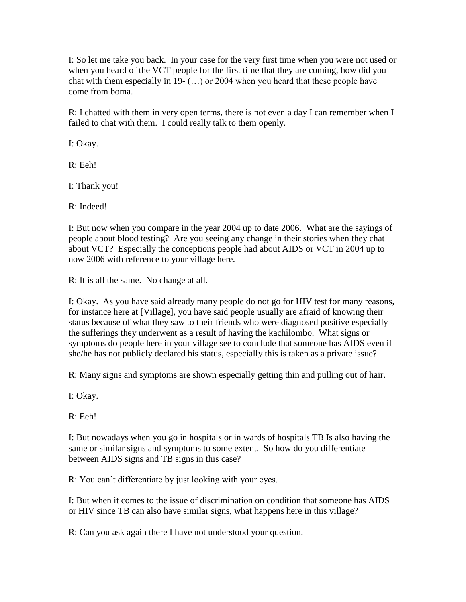I: So let me take you back. In your case for the very first time when you were not used or when you heard of the VCT people for the first time that they are coming, how did you chat with them especially in 19- (…) or 2004 when you heard that these people have come from boma.

R: I chatted with them in very open terms, there is not even a day I can remember when I failed to chat with them. I could really talk to them openly.

I: Okay.

R: Eeh!

I: Thank you!

R: Indeed!

I: But now when you compare in the year 2004 up to date 2006. What are the sayings of people about blood testing? Are you seeing any change in their stories when they chat about VCT? Especially the conceptions people had about AIDS or VCT in 2004 up to now 2006 with reference to your village here.

R: It is all the same. No change at all.

I: Okay. As you have said already many people do not go for HIV test for many reasons, for instance here at [Village], you have said people usually are afraid of knowing their status because of what they saw to their friends who were diagnosed positive especially the sufferings they underwent as a result of having the kachilombo. What signs or symptoms do people here in your village see to conclude that someone has AIDS even if she/he has not publicly declared his status, especially this is taken as a private issue?

R: Many signs and symptoms are shown especially getting thin and pulling out of hair.

I: Okay.

R: Eeh!

I: But nowadays when you go in hospitals or in wards of hospitals TB Is also having the same or similar signs and symptoms to some extent. So how do you differentiate between AIDS signs and TB signs in this case?

R: You can't differentiate by just looking with your eyes.

I: But when it comes to the issue of discrimination on condition that someone has AIDS or HIV since TB can also have similar signs, what happens here in this village?

R: Can you ask again there I have not understood your question.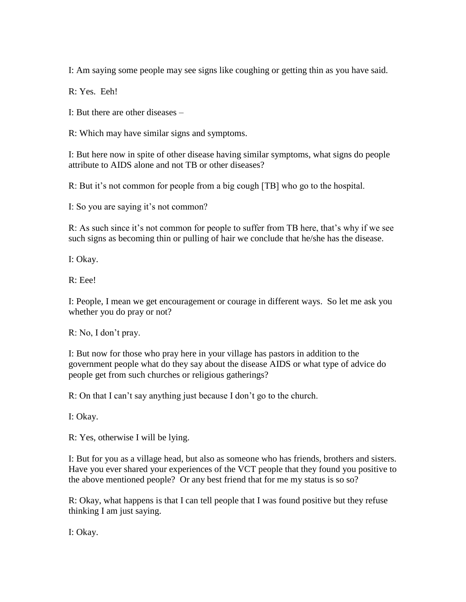I: Am saying some people may see signs like coughing or getting thin as you have said.

R: Yes. Eeh!

I: But there are other diseases –

R: Which may have similar signs and symptoms.

I: But here now in spite of other disease having similar symptoms, what signs do people attribute to AIDS alone and not TB or other diseases?

R: But it's not common for people from a big cough [TB] who go to the hospital.

I: So you are saying it's not common?

R: As such since it's not common for people to suffer from TB here, that's why if we see such signs as becoming thin or pulling of hair we conclude that he/she has the disease.

I: Okay.

R: Eee!

I: People, I mean we get encouragement or courage in different ways. So let me ask you whether you do pray or not?

R: No, I don't pray.

I: But now for those who pray here in your village has pastors in addition to the government people what do they say about the disease AIDS or what type of advice do people get from such churches or religious gatherings?

R: On that I can't say anything just because I don't go to the church.

I: Okay.

R: Yes, otherwise I will be lying.

I: But for you as a village head, but also as someone who has friends, brothers and sisters. Have you ever shared your experiences of the VCT people that they found you positive to the above mentioned people? Or any best friend that for me my status is so so?

R: Okay, what happens is that I can tell people that I was found positive but they refuse thinking I am just saying.

I: Okay.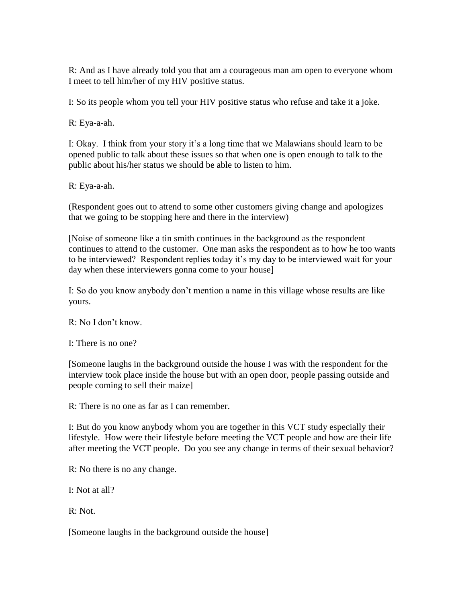R: And as I have already told you that am a courageous man am open to everyone whom I meet to tell him/her of my HIV positive status.

I: So its people whom you tell your HIV positive status who refuse and take it a joke.

R: Eya-a-ah.

I: Okay. I think from your story it's a long time that we Malawians should learn to be opened public to talk about these issues so that when one is open enough to talk to the public about his/her status we should be able to listen to him.

R: Eya-a-ah.

(Respondent goes out to attend to some other customers giving change and apologizes that we going to be stopping here and there in the interview)

[Noise of someone like a tin smith continues in the background as the respondent continues to attend to the customer. One man asks the respondent as to how he too wants to be interviewed? Respondent replies today it's my day to be interviewed wait for your day when these interviewers gonna come to your house]

I: So do you know anybody don't mention a name in this village whose results are like yours.

R: No I don't know.

I: There is no one?

[Someone laughs in the background outside the house I was with the respondent for the interview took place inside the house but with an open door, people passing outside and people coming to sell their maize]

R: There is no one as far as I can remember.

I: But do you know anybody whom you are together in this VCT study especially their lifestyle. How were their lifestyle before meeting the VCT people and how are their life after meeting the VCT people. Do you see any change in terms of their sexual behavior?

R: No there is no any change.

I: Not at all?

R: Not.

[Someone laughs in the background outside the house]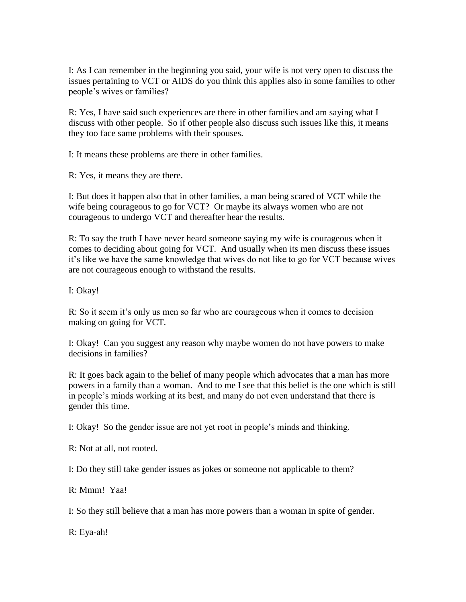I: As I can remember in the beginning you said, your wife is not very open to discuss the issues pertaining to VCT or AIDS do you think this applies also in some families to other people's wives or families?

R: Yes, I have said such experiences are there in other families and am saying what I discuss with other people. So if other people also discuss such issues like this, it means they too face same problems with their spouses.

I: It means these problems are there in other families.

R: Yes, it means they are there.

I: But does it happen also that in other families, a man being scared of VCT while the wife being courageous to go for VCT? Or maybe its always women who are not courageous to undergo VCT and thereafter hear the results.

R: To say the truth I have never heard someone saying my wife is courageous when it comes to deciding about going for VCT. And usually when its men discuss these issues it's like we have the same knowledge that wives do not like to go for VCT because wives are not courageous enough to withstand the results.

I: Okay!

R: So it seem it's only us men so far who are courageous when it comes to decision making on going for VCT.

I: Okay! Can you suggest any reason why maybe women do not have powers to make decisions in families?

R: It goes back again to the belief of many people which advocates that a man has more powers in a family than a woman. And to me I see that this belief is the one which is still in people's minds working at its best, and many do not even understand that there is gender this time.

I: Okay! So the gender issue are not yet root in people's minds and thinking.

R: Not at all, not rooted.

I: Do they still take gender issues as jokes or someone not applicable to them?

R: Mmm! Yaa!

I: So they still believe that a man has more powers than a woman in spite of gender.

R: Eya-ah!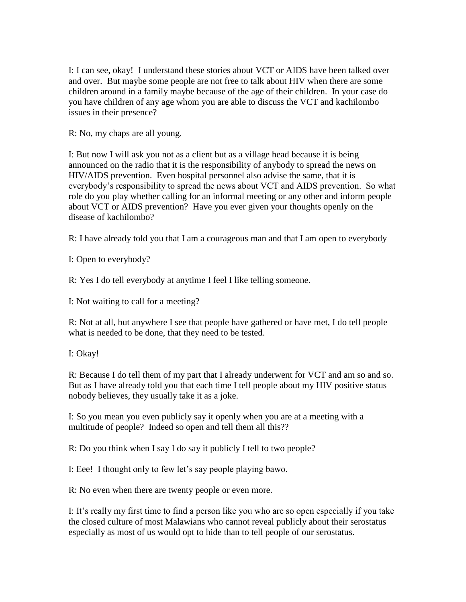I: I can see, okay! I understand these stories about VCT or AIDS have been talked over and over. But maybe some people are not free to talk about HIV when there are some children around in a family maybe because of the age of their children. In your case do you have children of any age whom you are able to discuss the VCT and kachilombo issues in their presence?

R: No, my chaps are all young.

I: But now I will ask you not as a client but as a village head because it is being announced on the radio that it is the responsibility of anybody to spread the news on HIV/AIDS prevention. Even hospital personnel also advise the same, that it is everybody's responsibility to spread the news about VCT and AIDS prevention. So what role do you play whether calling for an informal meeting or any other and inform people about VCT or AIDS prevention? Have you ever given your thoughts openly on the disease of kachilombo?

R: I have already told you that I am a courageous man and that I am open to everybody –

I: Open to everybody?

R: Yes I do tell everybody at anytime I feel I like telling someone.

I: Not waiting to call for a meeting?

R: Not at all, but anywhere I see that people have gathered or have met, I do tell people what is needed to be done, that they need to be tested.

I: Okay!

R: Because I do tell them of my part that I already underwent for VCT and am so and so. But as I have already told you that each time I tell people about my HIV positive status nobody believes, they usually take it as a joke.

I: So you mean you even publicly say it openly when you are at a meeting with a multitude of people? Indeed so open and tell them all this??

R: Do you think when I say I do say it publicly I tell to two people?

I: Eee! I thought only to few let's say people playing bawo.

R: No even when there are twenty people or even more.

I: It's really my first time to find a person like you who are so open especially if you take the closed culture of most Malawians who cannot reveal publicly about their serostatus especially as most of us would opt to hide than to tell people of our serostatus.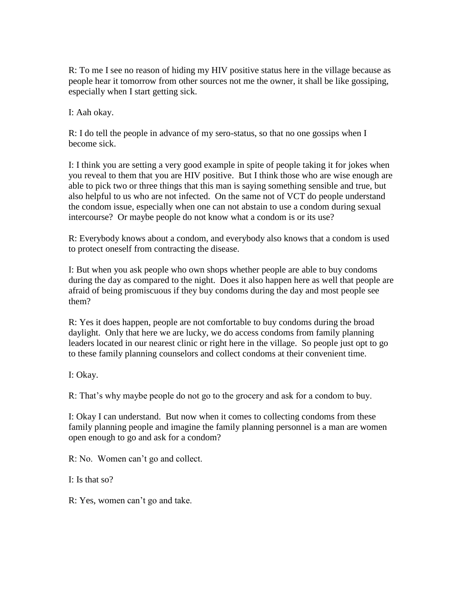R: To me I see no reason of hiding my HIV positive status here in the village because as people hear it tomorrow from other sources not me the owner, it shall be like gossiping, especially when I start getting sick.

I: Aah okay.

R: I do tell the people in advance of my sero-status, so that no one gossips when I become sick.

I: I think you are setting a very good example in spite of people taking it for jokes when you reveal to them that you are HIV positive. But I think those who are wise enough are able to pick two or three things that this man is saying something sensible and true, but also helpful to us who are not infected. On the same not of VCT do people understand the condom issue, especially when one can not abstain to use a condom during sexual intercourse? Or maybe people do not know what a condom is or its use?

R: Everybody knows about a condom, and everybody also knows that a condom is used to protect oneself from contracting the disease.

I: But when you ask people who own shops whether people are able to buy condoms during the day as compared to the night. Does it also happen here as well that people are afraid of being promiscuous if they buy condoms during the day and most people see them?

R: Yes it does happen, people are not comfortable to buy condoms during the broad daylight. Only that here we are lucky, we do access condoms from family planning leaders located in our nearest clinic or right here in the village. So people just opt to go to these family planning counselors and collect condoms at their convenient time.

I: Okay.

R: That's why maybe people do not go to the grocery and ask for a condom to buy.

I: Okay I can understand. But now when it comes to collecting condoms from these family planning people and imagine the family planning personnel is a man are women open enough to go and ask for a condom?

R: No. Women can't go and collect.

I: Is that so?

R: Yes, women can't go and take.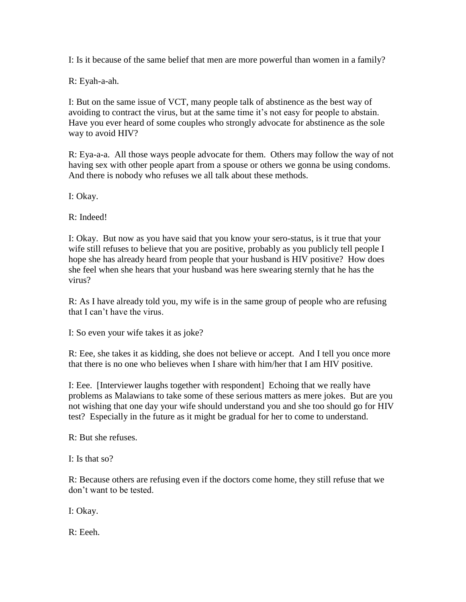I: Is it because of the same belief that men are more powerful than women in a family?

R: Eyah-a-ah.

I: But on the same issue of VCT, many people talk of abstinence as the best way of avoiding to contract the virus, but at the same time it's not easy for people to abstain. Have you ever heard of some couples who strongly advocate for abstinence as the sole way to avoid HIV?

R: Eya-a-a. All those ways people advocate for them. Others may follow the way of not having sex with other people apart from a spouse or others we gonna be using condoms. And there is nobody who refuses we all talk about these methods.

I: Okay.

R: Indeed!

I: Okay. But now as you have said that you know your sero-status, is it true that your wife still refuses to believe that you are positive, probably as you publicly tell people I hope she has already heard from people that your husband is HIV positive? How does she feel when she hears that your husband was here swearing sternly that he has the virus?

R: As I have already told you, my wife is in the same group of people who are refusing that I can't have the virus.

I: So even your wife takes it as joke?

R: Eee, she takes it as kidding, she does not believe or accept. And I tell you once more that there is no one who believes when I share with him/her that I am HIV positive.

I: Eee. [Interviewer laughs together with respondent] Echoing that we really have problems as Malawians to take some of these serious matters as mere jokes. But are you not wishing that one day your wife should understand you and she too should go for HIV test? Especially in the future as it might be gradual for her to come to understand.

R: But she refuses.

I: Is that so?

R: Because others are refusing even if the doctors come home, they still refuse that we don't want to be tested.

I: Okay.

R: Eeeh.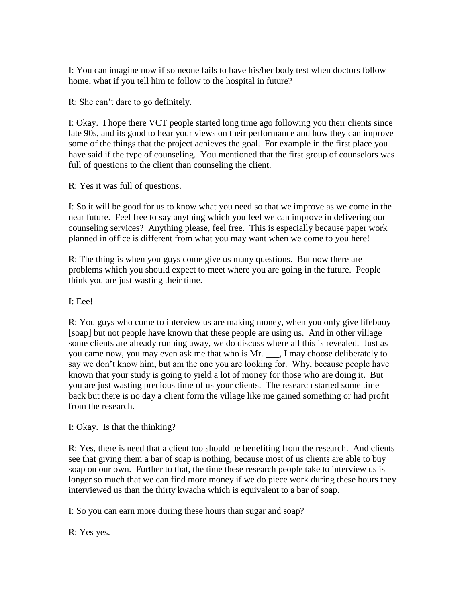I: You can imagine now if someone fails to have his/her body test when doctors follow home, what if you tell him to follow to the hospital in future?

R: She can't dare to go definitely.

I: Okay. I hope there VCT people started long time ago following you their clients since late 90s, and its good to hear your views on their performance and how they can improve some of the things that the project achieves the goal. For example in the first place you have said if the type of counseling. You mentioned that the first group of counselors was full of questions to the client than counseling the client.

R: Yes it was full of questions.

I: So it will be good for us to know what you need so that we improve as we come in the near future. Feel free to say anything which you feel we can improve in delivering our counseling services? Anything please, feel free. This is especially because paper work planned in office is different from what you may want when we come to you here!

R: The thing is when you guys come give us many questions. But now there are problems which you should expect to meet where you are going in the future. People think you are just wasting their time.

I: Eee!

R: You guys who come to interview us are making money, when you only give lifebuoy [soap] but not people have known that these people are using us. And in other village some clients are already running away, we do discuss where all this is revealed. Just as you came now, you may even ask me that who is Mr. \_\_\_, I may choose deliberately to say we don't know him, but am the one you are looking for. Why, because people have known that your study is going to yield a lot of money for those who are doing it. But you are just wasting precious time of us your clients. The research started some time back but there is no day a client form the village like me gained something or had profit from the research.

I: Okay. Is that the thinking?

R: Yes, there is need that a client too should be benefiting from the research. And clients see that giving them a bar of soap is nothing, because most of us clients are able to buy soap on our own. Further to that, the time these research people take to interview us is longer so much that we can find more money if we do piece work during these hours they interviewed us than the thirty kwacha which is equivalent to a bar of soap.

I: So you can earn more during these hours than sugar and soap?

R: Yes yes.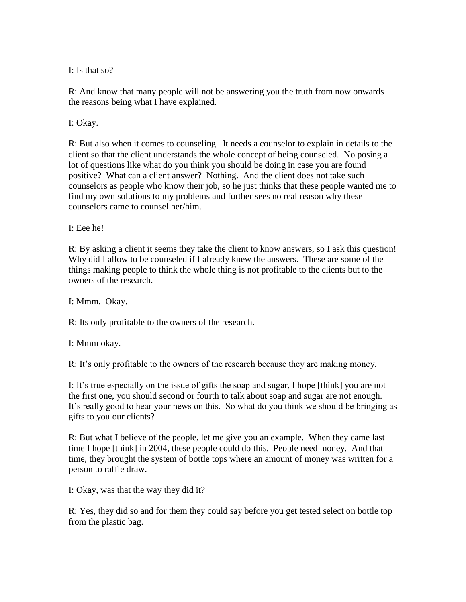I: Is that so?

R: And know that many people will not be answering you the truth from now onwards the reasons being what I have explained.

I: Okay.

R: But also when it comes to counseling. It needs a counselor to explain in details to the client so that the client understands the whole concept of being counseled. No posing a lot of questions like what do you think you should be doing in case you are found positive? What can a client answer? Nothing. And the client does not take such counselors as people who know their job, so he just thinks that these people wanted me to find my own solutions to my problems and further sees no real reason why these counselors came to counsel her/him.

I: Eee he!

R: By asking a client it seems they take the client to know answers, so I ask this question! Why did I allow to be counseled if I already knew the answers. These are some of the things making people to think the whole thing is not profitable to the clients but to the owners of the research.

I: Mmm. Okay.

R: Its only profitable to the owners of the research.

I: Mmm okay.

R: It's only profitable to the owners of the research because they are making money.

I: It's true especially on the issue of gifts the soap and sugar, I hope [think] you are not the first one, you should second or fourth to talk about soap and sugar are not enough. It's really good to hear your news on this. So what do you think we should be bringing as gifts to you our clients?

R: But what I believe of the people, let me give you an example. When they came last time I hope [think] in 2004, these people could do this. People need money. And that time, they brought the system of bottle tops where an amount of money was written for a person to raffle draw.

I: Okay, was that the way they did it?

R: Yes, they did so and for them they could say before you get tested select on bottle top from the plastic bag.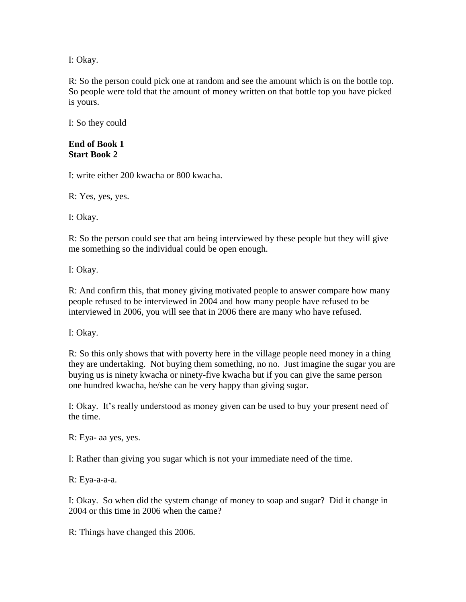I: Okay.

R: So the person could pick one at random and see the amount which is on the bottle top. So people were told that the amount of money written on that bottle top you have picked is yours.

I: So they could

## **End of Book 1 Start Book 2**

I: write either 200 kwacha or 800 kwacha.

R: Yes, yes, yes.

I: Okay.

R: So the person could see that am being interviewed by these people but they will give me something so the individual could be open enough.

I: Okay.

R: And confirm this, that money giving motivated people to answer compare how many people refused to be interviewed in 2004 and how many people have refused to be interviewed in 2006, you will see that in 2006 there are many who have refused.

I: Okay.

R: So this only shows that with poverty here in the village people need money in a thing they are undertaking. Not buying them something, no no. Just imagine the sugar you are buying us is ninety kwacha or ninety-five kwacha but if you can give the same person one hundred kwacha, he/she can be very happy than giving sugar.

I: Okay. It's really understood as money given can be used to buy your present need of the time.

R: Eya- aa yes, yes.

I: Rather than giving you sugar which is not your immediate need of the time.

R: Eya-a-a-a.

I: Okay. So when did the system change of money to soap and sugar? Did it change in 2004 or this time in 2006 when the came?

R: Things have changed this 2006.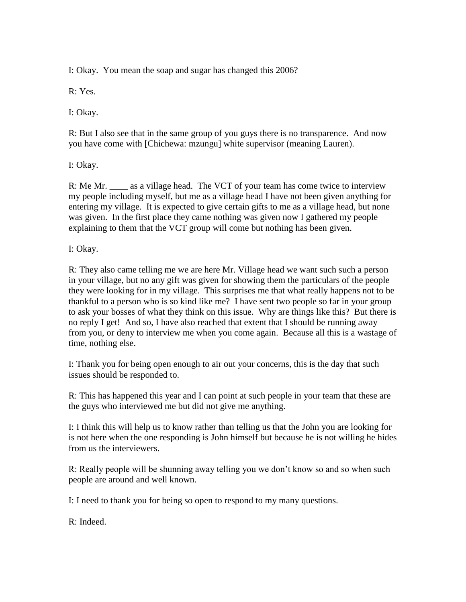I: Okay. You mean the soap and sugar has changed this 2006?

R: Yes.

I: Okay.

R: But I also see that in the same group of you guys there is no transparence. And now you have come with [Chichewa: mzungu] white supervisor (meaning Lauren).

I: Okay.

R: Me Mr. \_\_\_\_\_ as a village head. The VCT of your team has come twice to interview my people including myself, but me as a village head I have not been given anything for entering my village. It is expected to give certain gifts to me as a village head, but none was given. In the first place they came nothing was given now I gathered my people explaining to them that the VCT group will come but nothing has been given.

## I: Okay.

R: They also came telling me we are here Mr. Village head we want such such a person in your village, but no any gift was given for showing them the particulars of the people they were looking for in my village. This surprises me that what really happens not to be thankful to a person who is so kind like me? I have sent two people so far in your group to ask your bosses of what they think on this issue. Why are things like this? But there is no reply I get! And so, I have also reached that extent that I should be running away from you, or deny to interview me when you come again. Because all this is a wastage of time, nothing else.

I: Thank you for being open enough to air out your concerns, this is the day that such issues should be responded to.

R: This has happened this year and I can point at such people in your team that these are the guys who interviewed me but did not give me anything.

I: I think this will help us to know rather than telling us that the John you are looking for is not here when the one responding is John himself but because he is not willing he hides from us the interviewers.

R: Really people will be shunning away telling you we don't know so and so when such people are around and well known.

I: I need to thank you for being so open to respond to my many questions.

R: Indeed.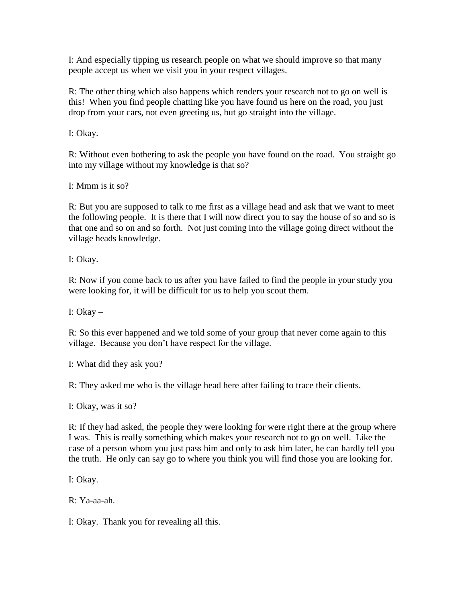I: And especially tipping us research people on what we should improve so that many people accept us when we visit you in your respect villages.

R: The other thing which also happens which renders your research not to go on well is this! When you find people chatting like you have found us here on the road, you just drop from your cars, not even greeting us, but go straight into the village.

I: Okay.

R: Without even bothering to ask the people you have found on the road. You straight go into my village without my knowledge is that so?

I: Mmm is it so?

R: But you are supposed to talk to me first as a village head and ask that we want to meet the following people. It is there that I will now direct you to say the house of so and so is that one and so on and so forth. Not just coming into the village going direct without the village heads knowledge.

I: Okay.

R: Now if you come back to us after you have failed to find the people in your study you were looking for, it will be difficult for us to help you scout them.

I: Okay –

R: So this ever happened and we told some of your group that never come again to this village. Because you don't have respect for the village.

I: What did they ask you?

R: They asked me who is the village head here after failing to trace their clients.

I: Okay, was it so?

R: If they had asked, the people they were looking for were right there at the group where I was. This is really something which makes your research not to go on well. Like the case of a person whom you just pass him and only to ask him later, he can hardly tell you the truth. He only can say go to where you think you will find those you are looking for.

I: Okay.

R: Ya-aa-ah.

I: Okay. Thank you for revealing all this.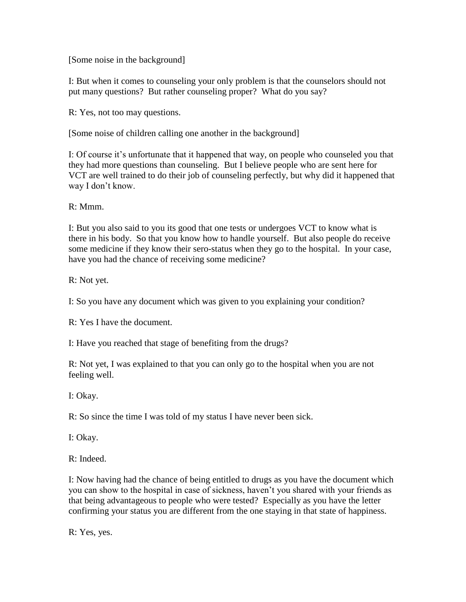[Some noise in the background]

I: But when it comes to counseling your only problem is that the counselors should not put many questions? But rather counseling proper? What do you say?

R: Yes, not too may questions.

[Some noise of children calling one another in the background]

I: Of course it's unfortunate that it happened that way, on people who counseled you that they had more questions than counseling. But I believe people who are sent here for VCT are well trained to do their job of counseling perfectly, but why did it happened that way I don't know.

R: Mmm.

I: But you also said to you its good that one tests or undergoes VCT to know what is there in his body. So that you know how to handle yourself. But also people do receive some medicine if they know their sero-status when they go to the hospital. In your case, have you had the chance of receiving some medicine?

R: Not yet.

I: So you have any document which was given to you explaining your condition?

R: Yes I have the document.

I: Have you reached that stage of benefiting from the drugs?

R: Not yet, I was explained to that you can only go to the hospital when you are not feeling well.

I: Okay.

R: So since the time I was told of my status I have never been sick.

I: Okay.

R: Indeed.

I: Now having had the chance of being entitled to drugs as you have the document which you can show to the hospital in case of sickness, haven't you shared with your friends as that being advantageous to people who were tested? Especially as you have the letter confirming your status you are different from the one staying in that state of happiness.

R: Yes, yes.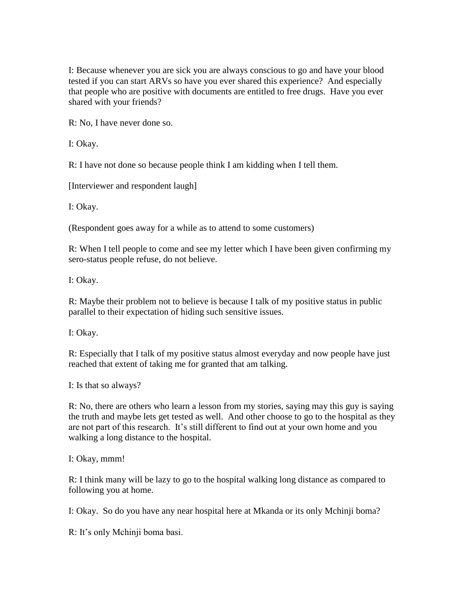I: Because whenever you are sick you are always conscious to go and have your blood tested if you can start ARVs so have you ever shared this experience? And especially that people who are positive with documents are entitled to free drugs. Have you ever shared with your friends?

R: No, I have never done so.

I: Okay.

R: I have not done so because people think I am kidding when I tell them.

[Interviewer and respondent laugh]

I: Okay.

(Respondent goes away for a while as to attend to some customers)

R: When I tell people to come and see my letter which I have been given confirming my sero-status people refuse, do not believe.

I: Okay.

R: Maybe their problem not to believe is because I talk of my positive status in public parallel to their expectation of hiding such sensitive issues.

I: Okay.

R: Especially that I talk of my positive status almost everyday and now people have just reached that extent of taking me for granted that am talking.

I: Is that so always?

R: No, there are others who learn a lesson from my stories, saying may this guy is saying the truth and maybe lets get tested as well. And other choose to go to the hospital as they are not part of this research. It's still different to find out at your own home and you walking a long distance to the hospital.

I: Okay, mmm!

R: I think many will be lazy to go to the hospital walking long distance as compared to following you at home.

I: Okay. So do you have any near hospital here at Mkanda or its only Mchinji boma?

R: It's only Mchinji boma basi.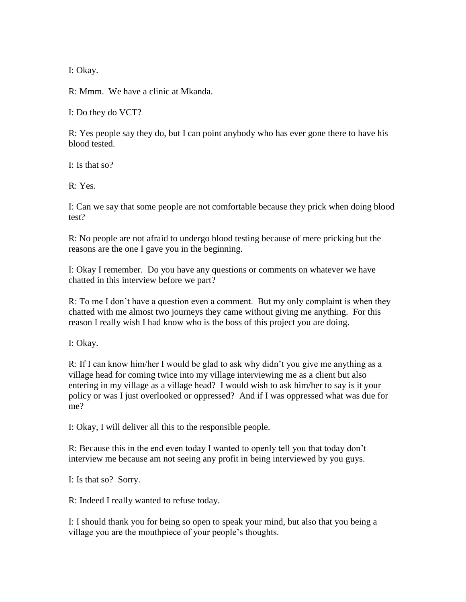I: Okay.

R: Mmm. We have a clinic at Mkanda.

I: Do they do VCT?

R: Yes people say they do, but I can point anybody who has ever gone there to have his blood tested.

I: Is that so?

R: Yes.

I: Can we say that some people are not comfortable because they prick when doing blood test?

R: No people are not afraid to undergo blood testing because of mere pricking but the reasons are the one I gave you in the beginning.

I: Okay I remember. Do you have any questions or comments on whatever we have chatted in this interview before we part?

R: To me I don't have a question even a comment. But my only complaint is when they chatted with me almost two journeys they came without giving me anything. For this reason I really wish I had know who is the boss of this project you are doing.

I: Okay.

R: If I can know him/her I would be glad to ask why didn't you give me anything as a village head for coming twice into my village interviewing me as a client but also entering in my village as a village head? I would wish to ask him/her to say is it your policy or was I just overlooked or oppressed? And if I was oppressed what was due for me?

I: Okay, I will deliver all this to the responsible people.

R: Because this in the end even today I wanted to openly tell you that today don't interview me because am not seeing any profit in being interviewed by you guys.

I: Is that so? Sorry.

R: Indeed I really wanted to refuse today.

I: I should thank you for being so open to speak your mind, but also that you being a village you are the mouthpiece of your people's thoughts.